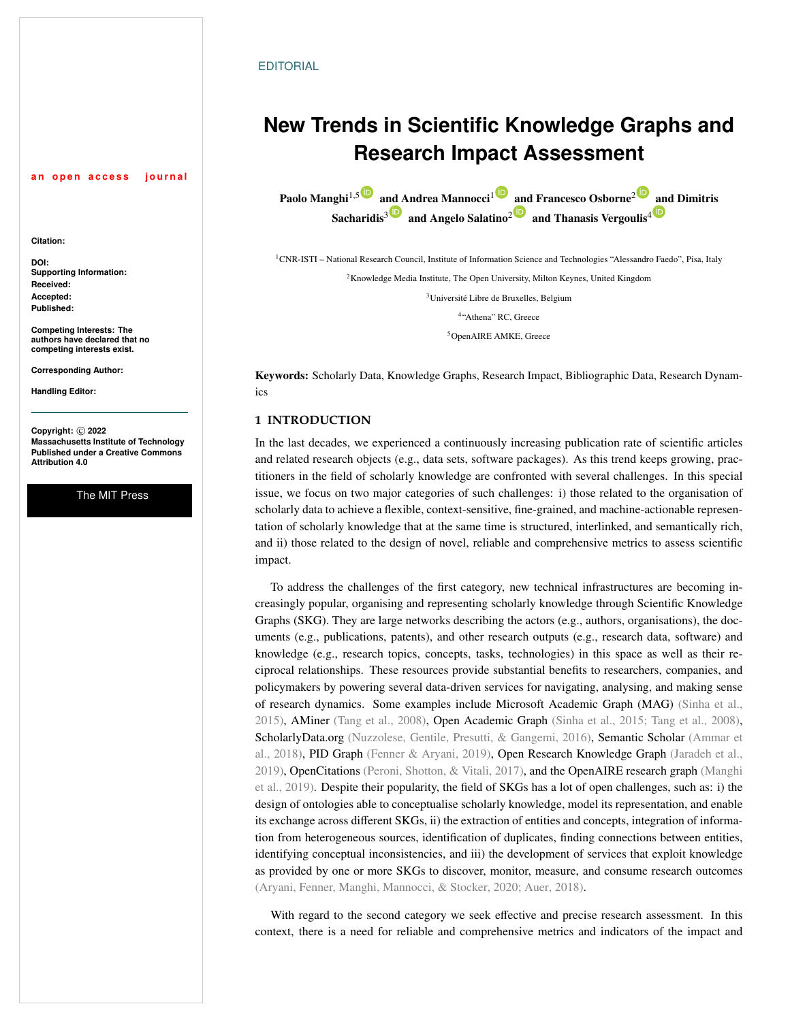#### **EDITORIAL**

# **New Trends in Scientific Knowledge Graphs and Research Impact Assessment**

Paolo Manghi<sup>1,[5](https://orcid.org/0000-0001-7291-3210)</sup> a[nd A](https://orcid.org/0000-0001-5022-1483)ndrea Mannocci<sup>[1](https://orcid.org/0000-0002-5193-7851)</sup> [and](https://orcid.org/0000-0002-4763-3943) Francesco Osborne<sup>[2](https://orcid.org/0000-0001-6557-3131)</sup> [an](https://orcid.org/0000-0003-0555-4128)d Dimitris Sacharidis<sup>3</sup> and Angelo Salatino<sup>2</sup> and Thanasis Vergoulis<sup>4</sub> **D**</sup>

CNR-ISTI – National Research Council, Institute of Information Science and Technologies "Alessandro Faedo", Pisa, Italy Knowledge Media Institute, The Open University, Milton Keynes, United Kingdom Université Libre de Bruxelles, Belgium "Athena" RC, Greece

<sup>5</sup>OpenAIRE AMKE, Greece

Keywords: Scholarly Data, Knowledge Graphs, Research Impact, Bibliographic Data, Research Dynamics

## **1 INTRODUCTION**

In the last decades, we experienced a continuously increasing publication rate of scientific articles and related research objects (e.g., data sets, software packages). As this trend keeps growing, practitioners in the field of scholarly knowledge are confronted with several challenges. In this special issue, we focus on two major categories of such challenges: i) those related to the organisation of scholarly data to achieve a flexible, context-sensitive, fine-grained, and machine-actionable representation of scholarly knowledge that at the same time is structured, interlinked, and semantically rich, and ii) those related to the design of novel, reliable and comprehensive metrics to assess scientific impact.

To address the challenges of the first category, new technical infrastructures are becoming increasingly popular, organising and representing scholarly knowledge through Scientific Knowledge Graphs (SKG). They are large networks describing the actors (e.g., authors, organisations), the documents (e.g., publications, patents), and other research outputs (e.g., research data, software) and knowledge (e.g., research topics, concepts, tasks, technologies) in this space as well as their reciprocal relationships. These resources provide substantial benefits to researchers, companies, and policymakers by powering several data-driven services for navigating, analysing, and making sense of research dynamics. Some examples include Microsoft Academic Graph (MAG) [\(Sinha et al.,](#page-4-0) [2015\)](#page-4-0), AMiner [\(Tang et al.,](#page-4-1) [2008\)](#page-4-1), Open Academic Graph [\(Sinha et al.,](#page-4-0) [2015;](#page-4-0) [Tang et al.,](#page-4-1) [2008\)](#page-4-1), ScholarlyData.org [\(Nuzzolese, Gentile, Presutti, & Gangemi,](#page-4-2) [2016\)](#page-4-2), Semantic Scholar [\(Ammar et](#page-3-0) [al.,](#page-3-0) [2018\)](#page-3-0), PID Graph [\(Fenner & Aryani,](#page-4-3) [2019\)](#page-4-3), Open Research Knowledge Graph [\(Jaradeh et al.,](#page-4-4) [2019\)](#page-4-4), OpenCitations [\(Peroni, Shotton, & Vitali,](#page-4-5) [2017\)](#page-4-5), and the OpenAIRE research graph [\(Manghi](#page-4-6) [et al.,](#page-4-6) [2019\)](#page-4-6). Despite their popularity, the field of SKGs has a lot of open challenges, such as: i) the design of ontologies able to conceptualise scholarly knowledge, model its representation, and enable its exchange across different SKGs, ii) the extraction of entities and concepts, integration of information from heterogeneous sources, identification of duplicates, finding connections between entities, identifying conceptual inconsistencies, and iii) the development of services that exploit knowledge as provided by one or more SKGs to discover, monitor, measure, and consume research outcomes [\(Aryani, Fenner, Manghi, Mannocci, & Stocker,](#page-3-1) [2020;](#page-3-1) [Auer,](#page-3-2) [2018\)](#page-3-2).

With regard to the second category we seek effective and precise research assessment. In this context, there is a need for reliable and comprehensive metrics and indicators of the impact and

**Citation:**

**DOI: Supporting Information: Received: Accepted: Published:**

**Competing Interests: The authors have declared that no competing interests exist.**

an open access journal

**Corresponding Author:**

**Handling Editor:**

**Copyright:** © **2022 Massachusetts Institute of Technology Published under a Creative Commons Attribution 4.0**

The MIT Press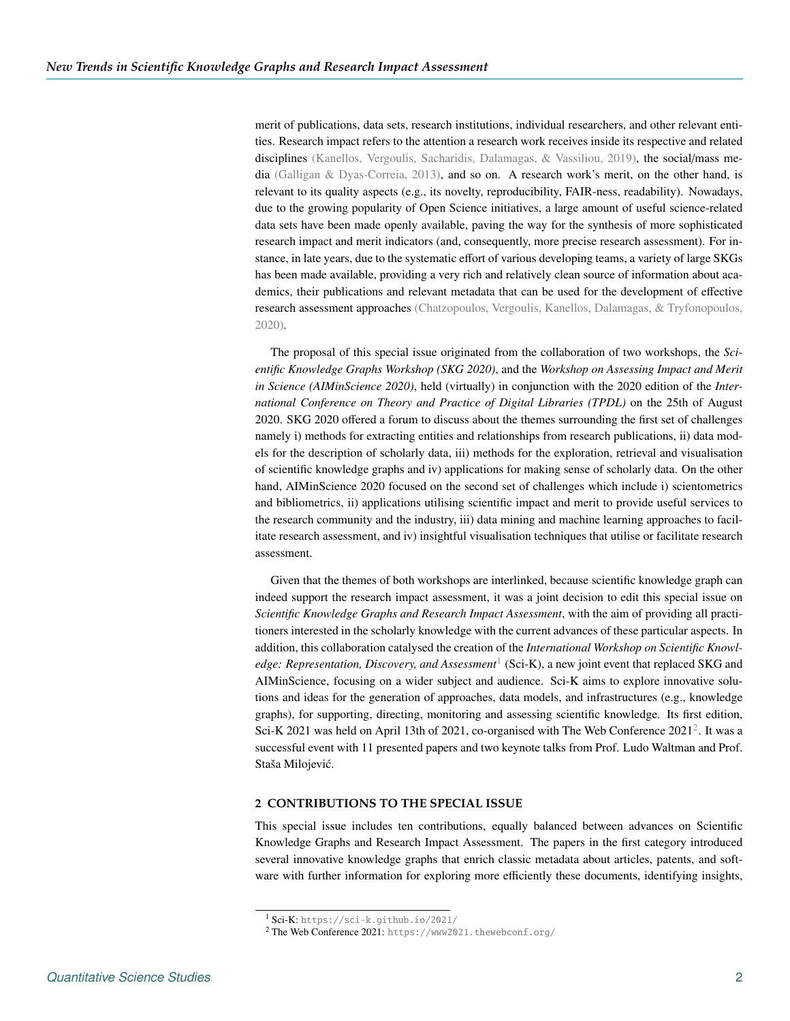merit of publications, data sets, research institutions, individual researchers, and other relevant entities. Research impact refers to the attention a research work receives inside its respective and related disciplines [\(Kanellos, Vergoulis, Sacharidis, Dalamagas, & Vassiliou,](#page-4-7) [2019\)](#page-4-7), the social/mass media [\(Galligan & Dyas-Correia,](#page-4-8) [2013\)](#page-4-8), and so on. A research work's merit, on the other hand, is relevant to its quality aspects (e.g., its novelty, reproducibility, FAIR-ness, readability). Nowadays, due to the growing popularity of Open Science initiatives, a large amount of useful science-related data sets have been made openly available, paving the way for the synthesis of more sophisticated research impact and merit indicators (and, consequently, more precise research assessment). For instance, in late years, due to the systematic effort of various developing teams, a variety of large SKGs has been made available, providing a very rich and relatively clean source of information about academics, their publications and relevant metadata that can be used for the development of effective research assessment approaches [\(Chatzopoulos, Vergoulis, Kanellos, Dalamagas, & Tryfonopoulos,](#page-4-9) [2020\)](#page-4-9).

The proposal of this special issue originated from the collaboration of two workshops, the *Scientific Knowledge Graphs Workshop (SKG 2020)*, and the *Workshop on Assessing Impact and Merit in Science (AIMinScience 2020)*, held (virtually) in conjunction with the 2020 edition of the *International Conference on Theory and Practice of Digital Libraries (TPDL)* on the 25th of August 2020. SKG 2020 offered a forum to discuss about the themes surrounding the first set of challenges namely i) methods for extracting entities and relationships from research publications, ii) data models for the description of scholarly data, iii) methods for the exploration, retrieval and visualisation of scientific knowledge graphs and iv) applications for making sense of scholarly data. On the other hand, AIMinScience 2020 focused on the second set of challenges which include i) scientometrics and bibliometrics, ii) applications utilising scientific impact and merit to provide useful services to the research community and the industry, iii) data mining and machine learning approaches to facilitate research assessment, and iv) insightful visualisation techniques that utilise or facilitate research assessment.

Given that the themes of both workshops are interlinked, because scientific knowledge graph can indeed support the research impact assessment, it was a joint decision to edit this special issue on *Scientific Knowledge Graphs and Research Impact Assessment*, with the aim of providing all practitioners interested in the scholarly knowledge with the current advances of these particular aspects. In addition, this collaboration catalysed the creation of the *International Workshop on Scientific Knowledge: Representation, Discovery, and Assessment*  $^1$  $^1$  (Sci-K), a new joint event that replaced SKG and AIMinScience, focusing on a wider subject and audience. Sci-K aims to explore innovative solutions and ideas for the generation of approaches, data models, and infrastructures (e.g., knowledge graphs), for supporting, directing, monitoring and assessing scientific knowledge. Its first edition, Sci-K [2](#page-1-1)021 was held on April 13th of 2021, co-organised with The Web Conference  $2021^2$ . It was a successful event with 11 presented papers and two keynote talks from Prof. Ludo Waltman and Prof. Staša Milojević.

#### **2 CONTRIBUTIONS TO THE SPECIAL ISSUE**

This special issue includes ten contributions, equally balanced between advances on Scientific Knowledge Graphs and Research Impact Assessment. The papers in the first category introduced several innovative knowledge graphs that enrich classic metadata about articles, patents, and software with further information for exploring more efficiently these documents, identifying insights,

<span id="page-1-1"></span><span id="page-1-0"></span><sup>1</sup> Sci-K: <https://sci-k.github.io/2021/>

<sup>2</sup> The Web Conference 2021: <https://www2021.thewebconf.org/>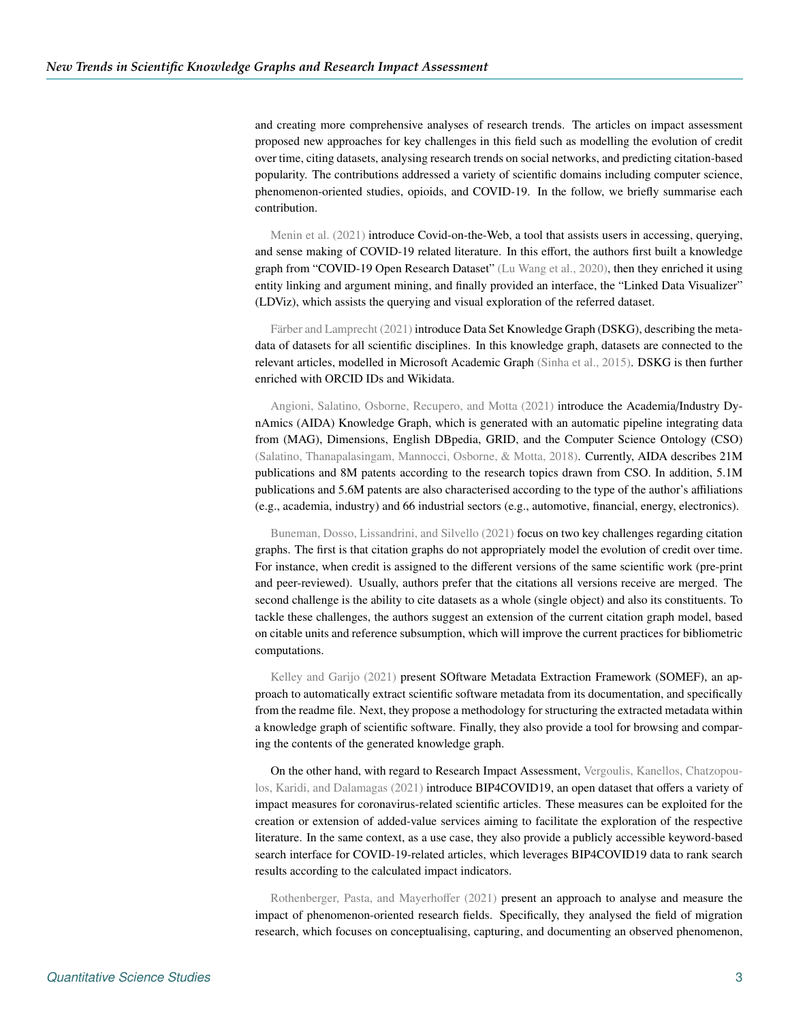and creating more comprehensive analyses of research trends. The articles on impact assessment proposed new approaches for key challenges in this field such as modelling the evolution of credit over time, citing datasets, analysing research trends on social networks, and predicting citation-based popularity. The contributions addressed a variety of scientific domains including computer science, phenomenon-oriented studies, opioids, and COVID-19. In the follow, we briefly summarise each contribution.

[Menin et al.](#page-4-10) [\(2021\)](#page-4-10) introduce Covid-on-the-Web, a tool that assists users in accessing, querying, and sense making of COVID-19 related literature. In this effort, the authors first built a knowledge graph from "COVID-19 Open Research Dataset" [\(Lu Wang et al.,](#page-4-11) [2020\)](#page-4-11), then they enriched it using entity linking and argument mining, and finally provided an interface, the "Linked Data Visualizer" (LDViz), which assists the querying and visual exploration of the referred dataset.

[Färber and Lamprecht](#page-4-12) [\(2021\)](#page-4-12) introduce Data Set Knowledge Graph (DSKG), describing the metadata of datasets for all scientific disciplines. In this knowledge graph, datasets are connected to the relevant articles, modelled in Microsoft Academic Graph [\(Sinha et al.,](#page-4-0) [2015\)](#page-4-0). DSKG is then further enriched with ORCID IDs and Wikidata.

[Angioni, Salatino, Osborne, Recupero, and Motta](#page-3-3) [\(2021\)](#page-3-3) introduce the Academia/Industry DynAmics (AIDA) Knowledge Graph, which is generated with an automatic pipeline integrating data from (MAG), Dimensions, English DBpedia, GRID, and the Computer Science Ontology (CSO) [\(Salatino, Thanapalasingam, Mannocci, Osborne, & Motta,](#page-4-13) [2018\)](#page-4-13). Currently, AIDA describes 21M publications and 8M patents according to the research topics drawn from CSO. In addition, 5.1M publications and 5.6M patents are also characterised according to the type of the author's affiliations (e.g., academia, industry) and 66 industrial sectors (e.g., automotive, financial, energy, electronics).

[Buneman, Dosso, Lissandrini, and Silvello](#page-3-4) [\(2021\)](#page-3-4) focus on two key challenges regarding citation graphs. The first is that citation graphs do not appropriately model the evolution of credit over time. For instance, when credit is assigned to the different versions of the same scientific work (pre-print and peer-reviewed). Usually, authors prefer that the citations all versions receive are merged. The second challenge is the ability to cite datasets as a whole (single object) and also its constituents. To tackle these challenges, the authors suggest an extension of the current citation graph model, based on citable units and reference subsumption, which will improve the current practices for bibliometric computations.

[Kelley and Garijo](#page-4-14) [\(2021\)](#page-4-14) present SOftware Metadata Extraction Framework (SOMEF), an approach to automatically extract scientific software metadata from its documentation, and specifically from the readme file. Next, they propose a methodology for structuring the extracted metadata within a knowledge graph of scientific software. Finally, they also provide a tool for browsing and comparing the contents of the generated knowledge graph.

On the other hand, with regard to Research Impact Assessment, [Vergoulis, Kanellos, Chatzopou](#page-4-15)[los, Karidi, and Dalamagas](#page-4-15) [\(2021\)](#page-4-15) introduce BIP4COVID19, an open dataset that offers a variety of impact measures for coronavirus-related scientific articles. These measures can be exploited for the creation or extension of added-value services aiming to facilitate the exploration of the respective literature. In the same context, as a use case, they also provide a publicly accessible keyword-based search interface for COVID-19-related articles, which leverages BIP4COVID19 data to rank search results according to the calculated impact indicators.

[Rothenberger, Pasta, and Mayerho](#page-4-16)ffer [\(2021\)](#page-4-16) present an approach to analyse and measure the impact of phenomenon-oriented research fields. Specifically, they analysed the field of migration research, which focuses on conceptualising, capturing, and documenting an observed phenomenon,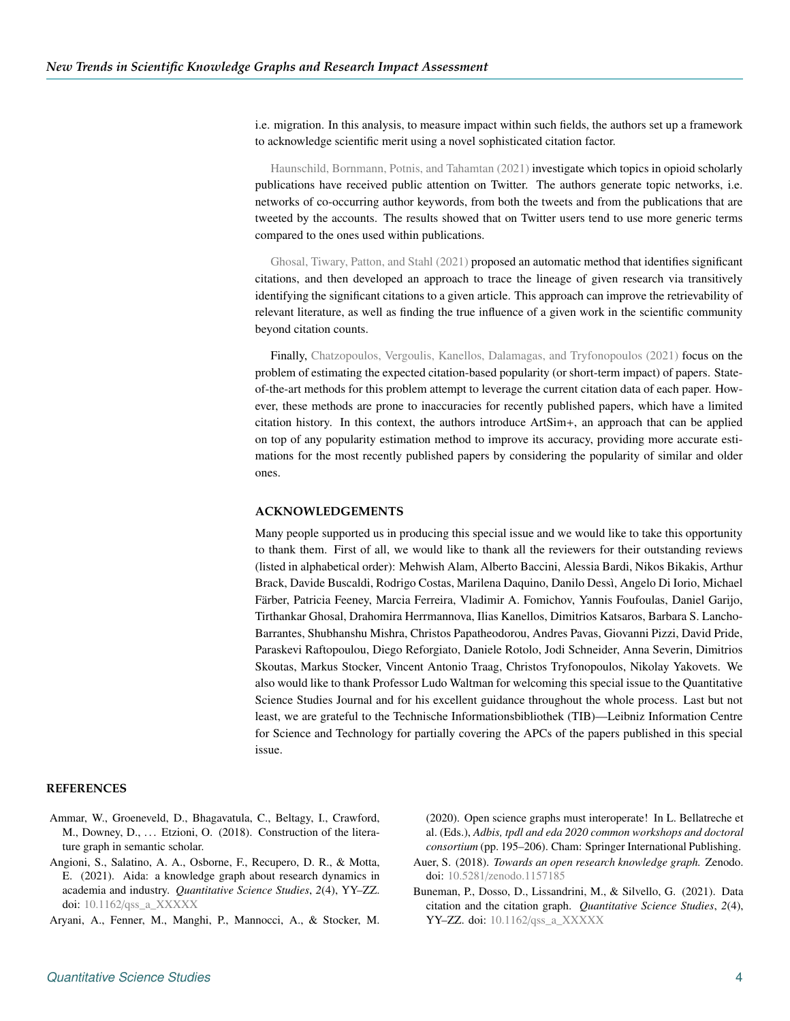i.e. migration. In this analysis, to measure impact within such fields, the authors set up a framework to acknowledge scientific merit using a novel sophisticated citation factor.

[Haunschild, Bornmann, Potnis, and Tahamtan](#page-4-17) [\(2021\)](#page-4-17) investigate which topics in opioid scholarly publications have received public attention on Twitter. The authors generate topic networks, i.e. networks of co-occurring author keywords, from both the tweets and from the publications that are tweeted by the accounts. The results showed that on Twitter users tend to use more generic terms compared to the ones used within publications.

[Ghosal, Tiwary, Patton, and Stahl](#page-4-18) [\(2021\)](#page-4-18) proposed an automatic method that identifies significant citations, and then developed an approach to trace the lineage of given research via transitively identifying the significant citations to a given article. This approach can improve the retrievability of relevant literature, as well as finding the true influence of a given work in the scientific community beyond citation counts.

Finally, [Chatzopoulos, Vergoulis, Kanellos, Dalamagas, and Tryfonopoulos](#page-4-19) [\(2021\)](#page-4-19) focus on the problem of estimating the expected citation-based popularity (or short-term impact) of papers. Stateof-the-art methods for this problem attempt to leverage the current citation data of each paper. However, these methods are prone to inaccuracies for recently published papers, which have a limited citation history. In this context, the authors introduce ArtSim+, an approach that can be applied on top of any popularity estimation method to improve its accuracy, providing more accurate estimations for the most recently published papers by considering the popularity of similar and older ones.

### **ACKNOWLEDGEMENTS**

Many people supported us in producing this special issue and we would like to take this opportunity to thank them. First of all, we would like to thank all the reviewers for their outstanding reviews (listed in alphabetical order): Mehwish Alam, Alberto Baccini, Alessia Bardi, Nikos Bikakis, Arthur Brack, Davide Buscaldi, Rodrigo Costas, Marilena Daquino, Danilo Dessì, Angelo Di Iorio, Michael Färber, Patricia Feeney, Marcia Ferreira, Vladimir A. Fomichov, Yannis Foufoulas, Daniel Garijo, Tirthankar Ghosal, Drahomira Herrmannova, Ilias Kanellos, Dimitrios Katsaros, Barbara S. Lancho-Barrantes, Shubhanshu Mishra, Christos Papatheodorou, Andres Pavas, Giovanni Pizzi, David Pride, Paraskevi Raftopoulou, Diego Reforgiato, Daniele Rotolo, Jodi Schneider, Anna Severin, Dimitrios Skoutas, Markus Stocker, Vincent Antonio Traag, Christos Tryfonopoulos, Nikolay Yakovets. We also would like to thank Professor Ludo Waltman for welcoming this special issue to the Quantitative Science Studies Journal and for his excellent guidance throughout the whole process. Last but not least, we are grateful to the Technische Informationsbibliothek (TIB)—Leibniz Information Centre for Science and Technology for partially covering the APCs of the papers published in this special issue.

#### **REFERENCES**

- <span id="page-3-0"></span>Ammar, W., Groeneveld, D., Bhagavatula, C., Beltagy, I., Crawford, M., Downey, D., ... Etzioni, O. (2018). Construction of the literature graph in semantic scholar.
- <span id="page-3-3"></span>Angioni, S., Salatino, A. A., Osborne, F., Recupero, D. R., & Motta, E. (2021). Aida: a knowledge graph about research dynamics in academia and industry. *Quantitative Science Studies*, *2*(4), YY–ZZ. doi: 10.1162/[qss\\_a\\_XXXXX](https://doi.org/10.1162/qss_a_XXXXX)
- <span id="page-3-1"></span>Aryani, A., Fenner, M., Manghi, P., Mannocci, A., & Stocker, M.

(2020). Open science graphs must interoperate! In L. Bellatreche et al. (Eds.), *Adbis, tpdl and eda 2020 common workshops and doctoral consortium* (pp. 195–206). Cham: Springer International Publishing.

- <span id="page-3-2"></span>Auer, S. (2018). *Towards an open research knowledge graph.* Zenodo. doi: 10.5281/[zenodo.1157185](https://doi.org/10.5281/zenodo.1157185)
- <span id="page-3-4"></span>Buneman, P., Dosso, D., Lissandrini, M., & Silvello, G. (2021). Data citation and the citation graph. *Quantitative Science Studies*, *2*(4), YY–ZZ. doi: 10.1162/[qss\\_a\\_XXXXX](https://doi.org/10.1162/qss_a_XXXXX)